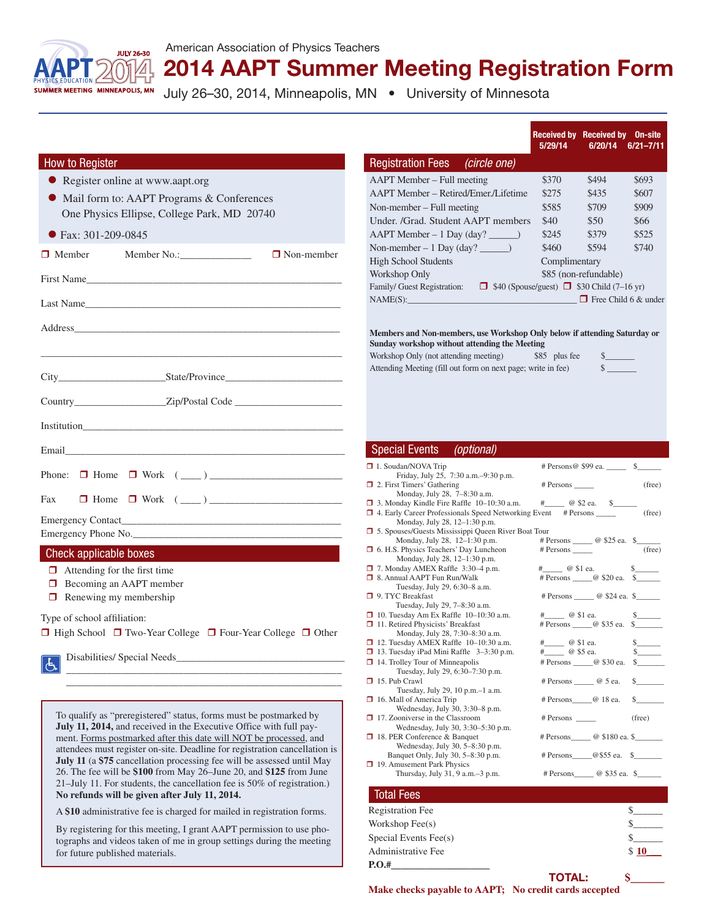

## 2014 AAPT Summer Meeting Registration Form

July 26-30, 2014, Minneapolis, MN . University of Minnesota

|                                                                                                                                                                                                                                |                                                                                                                            | Received by Received by On-site<br>5/29/14 | 6/20/14                                                   | $6/21 - 7/11$ |
|--------------------------------------------------------------------------------------------------------------------------------------------------------------------------------------------------------------------------------|----------------------------------------------------------------------------------------------------------------------------|--------------------------------------------|-----------------------------------------------------------|---------------|
| <b>How to Register</b>                                                                                                                                                                                                         | <b>Registration Fees</b><br>(circle one)                                                                                   |                                            |                                                           |               |
| Register online at www.aapt.org                                                                                                                                                                                                | AAPT Member – Full meeting                                                                                                 | \$370                                      | \$494                                                     | \$693         |
| Mail form to: AAPT Programs & Conferences                                                                                                                                                                                      | AAPT Member - Retired/Emer./Lifetime                                                                                       | \$275                                      | \$435                                                     | \$607         |
| One Physics Ellipse, College Park, MD 20740                                                                                                                                                                                    | Non-member – Full meeting                                                                                                  | \$585                                      | \$709                                                     | \$909         |
|                                                                                                                                                                                                                                | Under. /Grad. Student AAPT members                                                                                         | \$40                                       | \$50                                                      | \$66          |
| $\bullet$ Fax: 301-209-0845                                                                                                                                                                                                    | $AAPT$ Member – 1 Day (day? _______)                                                                                       | \$245                                      | \$379                                                     | \$525         |
| $\Box$ Non-member<br>$\Box$ Member                                                                                                                                                                                             | <b>High School Students</b>                                                                                                | \$460                                      | \$594                                                     | \$740         |
|                                                                                                                                                                                                                                | Workshop Only                                                                                                              | Complimentary                              | \$85 (non-refundable)                                     |               |
| First Name                                                                                                                                                                                                                     | Family/ Guest Registration: $\Box$ \$40 (Spouse/guest) $\Box$ \$30 Child (7–16 yr)                                         |                                            |                                                           |               |
| Last Name and the second service of the service of the service of the service of the service of the service of the service of the service of the service of the service of the service of the service of the service of the se | NAME(S):                                                                                                                   |                                            | $\Box$ Free Child 6 & under                               |               |
|                                                                                                                                                                                                                                |                                                                                                                            |                                            |                                                           |               |
|                                                                                                                                                                                                                                | Members and Non-members, use Workshop Only below if attending Saturday or<br>Sunday workshop without attending the Meeting |                                            |                                                           |               |
|                                                                                                                                                                                                                                | Workshop Only (not attending meeting)                                                                                      | \$85 plus fee                              |                                                           |               |
|                                                                                                                                                                                                                                | Attending Meeting (fill out form on next page; write in fee)                                                               |                                            | $\frac{\text{s}}{\text{s}}$                               |               |
|                                                                                                                                                                                                                                |                                                                                                                            |                                            |                                                           |               |
| Country________________________Zip/Postal Code _________________________________                                                                                                                                               |                                                                                                                            |                                            |                                                           |               |
|                                                                                                                                                                                                                                |                                                                                                                            |                                            |                                                           |               |
|                                                                                                                                                                                                                                | <b>Special Events</b><br>(optional)                                                                                        |                                            |                                                           |               |
|                                                                                                                                                                                                                                | $\Box$ 1. Soudan/NOVA Trip                                                                                                 |                                            | # Persons @ \$99 ea. _______ \$_______                    |               |
|                                                                                                                                                                                                                                | Friday, July 25, 7:30 a.m. -9:30 p.m.<br>$\Box$ 2. First Timers' Gathering                                                 |                                            | # Persons _______                                         | (free)        |
| Fax                                                                                                                                                                                                                            | Monday, July 28, 7-8:30 a.m.<br>$\Box$ 3. Monday Kindle Fire Raffle 10–10:30 a.m.                                          |                                            | #______ @ \$2 ea. \$______                                |               |
|                                                                                                                                                                                                                                | 4. Early Career Professionals Speed Networking Event # Persons ______<br>Monday, July 28, 12-1:30 p.m.                     |                                            |                                                           | (free)        |
| Emergency Phone No.                                                                                                                                                                                                            | 5. Spouses/Guests Mississippi Queen River Boat Tour                                                                        |                                            |                                                           |               |
| Check applicable boxes                                                                                                                                                                                                         | Monday, July 28, 12-1:30 p.m.<br><b>1</b> 6. H.S. Physics Teachers' Day Luncheon                                           |                                            | # Persons _______ @ \$25 ea. \$______<br># Persons (free) |               |
| $\Box$ Attending for the first time                                                                                                                                                                                            | Monday, July 28, 12-1:30 p.m.<br>7. Monday AMEX Raffle 3:30–4 p.m.                                                         |                                            | $#$ $\oslash$ \$1 ea.                                     |               |
| $\Box$ Becoming an AAPT member                                                                                                                                                                                                 | □ 8. Annual AAPT Fun Run/Walk                                                                                              |                                            | # Persons _______ @ \$20 ea. \$_______                    |               |
| $\Box$ Renewing my membership                                                                                                                                                                                                  | Tuesday, July 29, 6:30-8 a.m.<br>9. TYC Breakfast                                                                          |                                            | # Persons _______ @ \$24 ea. \$_______                    |               |
|                                                                                                                                                                                                                                | Tuesday, July 29, 7-8:30 a.m.<br>$\Box$ 10. Tuesday Am Ex Raffle 10–10:30 a.m.                                             | $#$ $\oslash$ \$1 ea.                      |                                                           |               |
| Type of school affiliation:                                                                                                                                                                                                    | 11. Retired Physicists' Breakfast                                                                                          |                                            | # Persons _______ @ \$35 ea. \$                           |               |
| □ High School □ Two-Year College □ Four-Year College □ Other                                                                                                                                                                   | Monday, July 28, 7:30-8:30 a.m.<br>$\Box$ 12. Tuesday AMEX Raffle 10-10:30 a.m.                                            | $^{\#}$                                    | @ \$1 ea.                                                 |               |
|                                                                                                                                                                                                                                | $\Box$ 13. Tuesday iPad Mini Raffle 3-3:30 p.m.<br>14. Trolley Tour of Minneapolis                                         | #________ @ \$5 ea.                        | # Persons _______@ \$30 ea. \$                            |               |
| 占                                                                                                                                                                                                                              | Tuesday, July 29, 6:30-7:30 p.m.                                                                                           |                                            |                                                           |               |
|                                                                                                                                                                                                                                | $\Box$ 15. Pub Crawl<br>Tuesday, July 29, 10 p.m. - 1 a.m.                                                                 |                                            | # Persons ______ @ 5 ea.                                  |               |
|                                                                                                                                                                                                                                | 16. Mall of America Trip<br>Wednesday, July 30, 3:30-8 p.m.                                                                |                                            | # Persons @ 18 ea.                                        |               |
| To qualify as "preregistered" status, forms must be postmarked by                                                                                                                                                              | $\Box$ 17. Zooniverse in the Classroom                                                                                     | # Persons ______                           |                                                           | (free)        |
| July 11, 2014, and received in the Executive Office with full pay-<br>ment. Forms postmarked after this date will NOT be processed, and                                                                                        | Wednesday, July 30, 3:30-5:30 p.m.<br>18. PER Conference & Banquet                                                         |                                            | # Persons @ \$180 ea. \$                                  |               |
| attendees must register on-site. Deadline for registration cancellation is                                                                                                                                                     | Wednesday, July 30, 5-8:30 p.m.<br>Banquet Only, July 30, 5-8:30 p.m.                                                      |                                            | $#$ Persons @\$55 ea. \$                                  |               |
| July 11 (a \$75 cancellation processing fee will be assessed until May<br>26. The fee will be \$100 from May 26-June 20, and \$125 from June                                                                                   | $\Box$ 19. Amusement Park Physics                                                                                          |                                            |                                                           |               |
| 21-July 11. For students, the cancellation fee is 50% of registration.)                                                                                                                                                        | Thursday, July 31, 9 a.m.–3 p.m.                                                                                           |                                            | # Persons _______ @ \$35 ea. \$                           |               |
| No refunds will be given after July 11, 2014.                                                                                                                                                                                  | <b>Total Fees</b>                                                                                                          |                                            |                                                           |               |
| A \$10 administrative fee is charged for mailed in registration forms.                                                                                                                                                         | <b>Registration Fee</b>                                                                                                    |                                            |                                                           | $\sim$        |
| $i$ staying for this masting. Lowest $\Lambda$ $\Lambda$ DT normisation to use the                                                                                                                                             | Workshop Fee(s)                                                                                                            |                                            |                                                           |               |

By registering for this meeting, I grant AAPT permission to use photographs and videos taken of me in group settings during the meeting for future published materials.

> TOTAL: **\$\_\_\_\_\_\_ Make checks payable to AAPT; No credit cards accepted**

Administrative Fee \$ 10\_

Special Events Fee(s)

**P.O.#\_\_\_\_\_\_\_\_\_\_\_\_\_\_\_\_\_\_\_\_**